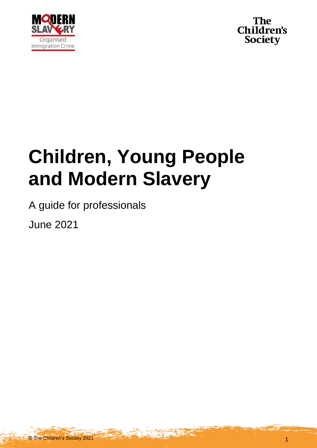



# **Children, Young People and Modern Slavery**

A guide for professionals

June 2021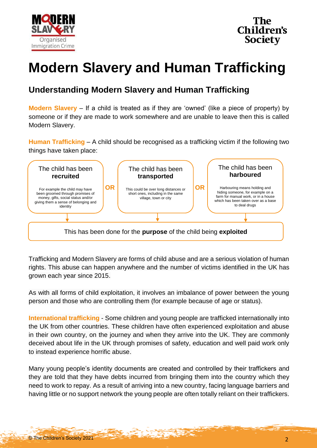



# **Modern Slavery and Human Trafficking**

# **Understanding Modern Slavery and Human Trafficking**

**Modern Slavery** – If a child is treated as if they are 'owned' (like a piece of property) by someone or if they are made to work somewhere and are unable to leave then this is called Modern Slavery.

**Human Trafficking** – A child should be recognised as a trafficking victim if the following two things have taken place:



Trafficking and Modern Slavery are forms of child abuse and are a serious violation of human rights. This abuse can happen anywhere and the number of victims identified in the UK has grown each year since 2015.

As with all forms of child exploitation, it involves an imbalance of power between the young person and those who are controlling them (for example because of age or status).

**International trafficking** - Some children and young people are trafficked internationally into the UK from other countries. These children have often experienced exploitation and abuse in their own country, on the journey and when they arrive into the UK. They are commonly deceived about life in the UK through promises of safety, education and well paid work only to instead experience horrific abuse.

Many young people's identity documents are created and controlled by their traffickers and they are told that they have debts incurred from bringing them into the country which they need to work to repay. As a result of arriving into a new country, facing language barriers and having little or no support network the young people are often totally reliant on their traffickers.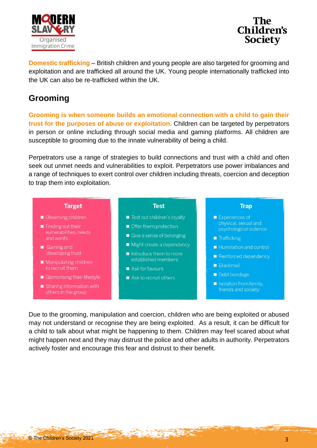



**Domestic trafficking** – British children and young people are also targeted for grooming and exploitation and are trafficked all around the UK. Young people internationally trafficked into the UK can also be re-trafficked within the UK.

## **Grooming**

**Grooming is when someone builds an emotional connection with a child to gain their trust for the purposes of abuse or exploitation.** Children can be targeted by perpetrators in person or online including through social media and gaming platforms. All children are susceptible to grooming due to the innate vulnerability of being a child.

Perpetrators use a range of strategies to build connections and trust with a child and often seek out unmet needs and vulnerabilities to exploit. Perpetrators use power imbalances and a range of techniques to exert control over children including threats, coercion and deception to trap them into exploitation.

#### **Target**

- Observing children
- $\blacksquare$  Finding out their vulnerabilities, needs and wants
- Gaining and developing trust
- Manipulating children to recruit them
- Glamorising their lifestyle
- Sharing information with others in the group

#### **Test**

- Test out children's loyalty
- Offer them protection
- Give a sense of belonging
- Might create a dependency
- $\blacksquare$  Introduce them to more established members
- Ask for favours
- Ask to recruit others

#### **Trap**

- Experiences of physical, sexual and psychological violence
- Trafficking
- Humiliation and control
- Reinforced dependency
- **Blackmail**
- Debt bondage
- Isolation from family, friends and society

Due to the grooming, manipulation and coercion, children who are being exploited or abused may not understand or recognise they are being exploited. As a result, it can be difficult for a child to talk about what might be happening to them. Children may feel scared about what might happen next and they may distrust the police and other adults in authority. Perpetrators actively foster and encourage this fear and distrust to their benefit.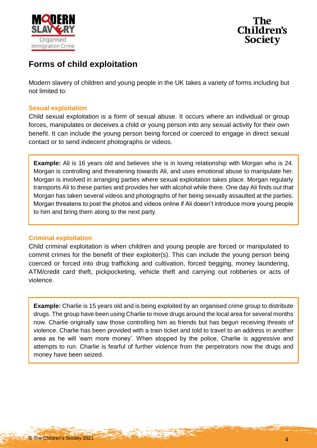



# **Forms of child exploitation**

Modern slavery of children and young people in the UK takes a variety of forms including but not limited to:

#### **Sexual exploitation**

Child sexual exploitation is a form of sexual abuse. It occurs where an individual or group forces, manipulates or deceives a child or young person into any sexual activity for their own benefit. It can include the young person being forced or coerced to engage in direct sexual contact or to send indecent photographs or videos.

**Example:** Ali is 16 years old and believes she is in loving relationship with Morgan who is 24. Morgan is controlling and threatening towards Ali, and uses emotional abuse to manipulate her. Morgan is involved in arranging parties where sexual exploitation takes place. Morgan regularly transports Ali to these parties and provides her with alcohol while there. One day Ali finds out that Morgan has taken several videos and photographs of her being sexually assaulted at the parties. Morgan threatens to post the photos and videos online if Ali doesn't introduce more young people to him and bring them along to the next party.

#### **Criminal exploitation**

Child criminal exploitation is when children and young people are forced or manipulated to commit crimes for the benefit of their exploiter(s). This can include the young person being coerced or forced into drug trafficking and cultivation, forced begging, money laundering, ATM/credit card theft, pickpocketing, vehicle theft and carrying out robberies or acts of violence.

**Example:** Charlie is 15 years old and is being exploited by an organised crime group to distribute drugs. The group have been using Charlie to move drugs around the local area for several months now. Charlie originally saw those controlling him as friends but has begun receiving threats of violence. Charlie has been provided with a train ticket and told to travel to an address in another area as he will 'earn more money'. When stopped by the police, Charlie is aggressive and attempts to run. Charlie is fearful of further violence from the perpetrators now the drugs and money have been seized.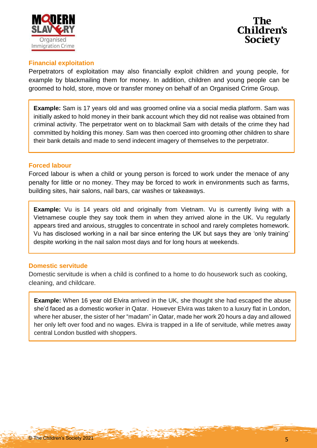



#### **Financial exploitation**

Perpetrators of exploitation may also financially exploit children and young people, for example by blackmailing them for money. In addition, children and young people can be groomed to hold, store, move or transfer money on behalf of an Organised Crime Group.

**Example:** Sam is 17 years old and was groomed online via a social media platform. Sam was initially asked to hold money in their bank account which they did not realise was obtained from criminal activity. The perpetrator went on to blackmail Sam with details of the crime they had committed by holding this money. Sam was then coerced into grooming other children to share their bank details and made to send indecent imagery of themselves to the perpetrator.

#### **Forced labour**

Forced labour is when a child or young person is forced to work under the menace of any penalty for little or no money. They may be forced to work in environments such as farms, building sites, hair salons, nail bars, car washes or takeaways.

**Example:** Vu is 14 years old and originally from Vietnam. Vu is currently living with a Vietnamese couple they say took them in when they arrived alone in the UK. Vu regularly appears tired and anxious, struggles to concentrate in school and rarely completes homework. Vu has disclosed working in a nail bar since entering the UK but says they are 'only training' despite working in the nail salon most days and for long hours at weekends.

#### **Domestic servitude**

Domestic servitude is when a child is confined to a home to do housework such as cooking, cleaning, and childcare.

**Example:** When 16 year old Elvira arrived in the UK, she thought she had escaped the abuse she'd faced as a domestic worker in Qatar. However Elvira was taken to a luxury flat in London, where her abuser, the sister of her "madam" in Qatar, made her work 20 hours a day and allowed her only left over food and no wages. Elvira is trapped in a life of servitude, while metres away central London bustled with shoppers.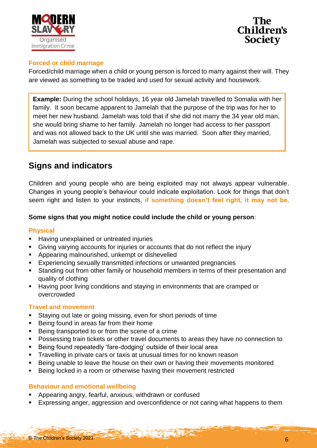



#### **Forced or child marriage**

Forced/child marriage when a child or young person is forced to marry against their will. They are viewed as something to be traded and used for sexual activity and housework.

**Example:** During the school holidays, 16 year old Jamelah travelled to Somalia with her family. It soon became apparent to Jamelah that the purpose of the trip was for her to meet her new husband. Jamelah was told that if she did not marry the 34 year old man, she would bring shame to her family. Jamelah no longer had access to her passport and was not allowed back to the UK until she was married. Soon after they married, Jamelah was subjected to sexual abuse and rape.

# **Signs and indicators**

Children and young people who are being exploited may not always appear vulnerable. Changes in young people's behaviour could indicate exploitation. Look for things that don't seem right and listen to your instincts, **if something doesn't feel right, it may not be.**

#### **Some signs that you might notice could include the child or young person**:

#### **Physical**

- Having unexplained or untreated injuries
- Giving varying accounts for injuries or accounts that do not reflect the injury
- **Appearing malnourished, unkempt or dishevelled**
- Experiencing sexually transmitted infections or unwanted pregnancies
- Standing out from other family or household members in terms of their presentation and quality of clothing
- Having poor living conditions and staying in environments that are cramped or overcrowded

#### **Travel and movement**

- Staying out late or going missing, even for short periods of time
- **Being found in areas far from their home**
- Being transported to or from the scene of a crime
- **Possessing train tickets or other travel documents to areas they have no connection to**
- Being found repeatedly 'fare-dodging' outside of their local area
- **Travelling in private cars or taxis at unusual times for no known reason**
- **Being unable to leave the house on their own or having their movements monitored**
- **Being locked in a room or otherwise having their movement restricted**

#### **Behaviour and emotional wellbeing**

- Appearing angry, fearful, anxious, withdrawn or confused
- Expressing anger, aggression and overconfidence or not caring what happens to them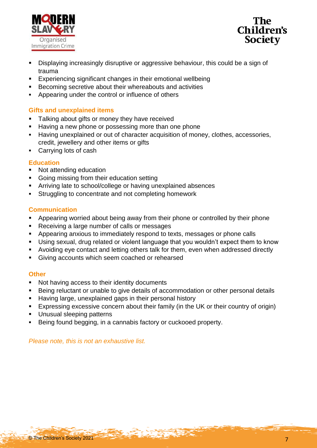



- Displaying increasingly disruptive or aggressive behaviour, this could be a sign of trauma
- Experiencing significant changes in their emotional wellbeing
- Becoming secretive about their whereabouts and activities
- Appearing under the control or influence of others

#### **Gifts and unexplained items**

- **Talking about gifts or money they have received**
- **Having a new phone or possessing more than one phone**
- Having unexplained or out of character acquisition of money, clothes, accessories, credit, jewellery and other items or gifts
- Carrying lots of cash

#### **Education**

- Not attending education
- **Going missing from their education setting**
- Arriving late to school/college or having unexplained absences
- **Struggling to concentrate and not completing homework**

#### **Communication**

- Appearing worried about being away from their phone or controlled by their phone
- Receiving a large number of calls or messages
- **Appearing anxious to immediately respond to texts, messages or phone calls**
- Using sexual, drug related or violent language that you wouldn't expect them to know
- Avoiding eye contact and letting others talk for them, even when addressed directly
- Giving accounts which seem coached or rehearsed

#### **Other**

- Not having access to their identity documents
- Being reluctant or unable to give details of accommodation or other personal details
- **Having large, unexplained gaps in their personal history**
- Expressing excessive concern about their family (in the UK or their country of origin)
- **Unusual sleeping patterns**
- Being found begging, in a cannabis factory or cuckooed property.

*Please note, this is not an exhaustive list.*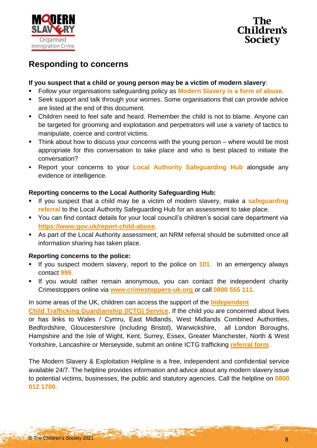

Children's **Society** 

# **Responding to concerns**

#### **If you suspect that a child or young person may be a victim of modern slavery**:

- Follow your organisations safeguarding policy as **Modern Slavery is a form of abuse**.
- Seek support and talk through your worries. Some organisations that can provide advice are listed at the end of this document.
- Children need to feel safe and heard. Remember the child is not to blame. Anyone can be targeted for grooming and exploitation and perpetrators will use a variety of tactics to manipulate, coerce and control victims.
- **Think about how to discuss your concerns with the young person** where would be most appropriate for this conversation to take place and who is best placed to initiate the conversation?
- Report your concerns to your **Local Authority Safeguarding Hub** alongside any evidence or intelligence.

#### **Reporting concerns to the Local Authority Safeguarding Hub:**

- If you suspect that a child may be a victim of modern slavery, make a **safeguarding referral** to the Local Authority Safeguarding Hub for an assessment to take place.
- You can find contact details for your local council's children's social care department via **[https://www.gov.uk/report-child-abuse.](https://www.gov.uk/report-child-abuse)**
- As part of the Local Authority assessment, an NRM referral should be submitted once all information sharing has taken place.

#### **Reporting concerns to the police:**

- If you suspect modern slavery, report to the police on **101**. In an emergency always contact **999**.
- If you would rather remain anonymous, you can contact the independent charity Crimestoppers online via **[www.crimestoppers-uk.org](http://www.crimestoppers-uk.org/)** or call **0800 555 111.**

#### In some areas of the UK, children can access the support of the **[Independent](https://www.gov.uk/government/publications/child-trafficking-advocates-early-adopter-sites)**

**[Child Trafficking Guardianship](https://www.gov.uk/government/publications/child-trafficking-advocates-early-adopter-sites) (ICTG) Service**. If the child you are concerned about lives or has links to Wales / Cymru, East Midlands, West Midlands Combined Authorities, Bedfordshire, Gloucestershire (including Bristol), Warwickshire, all London Boroughs, Hampshire and the Isle of Wight, Kent, Surrey, Essex, Greater Manchester, North & West Yorkshire, Lancashire or Merseyside, submit an online ICTG trafficking **[referral form.](https://www.barnardos.org.uk/what-we-do/protecting-children/trafficked-children/ICTG-service-referral-form)**

The Modern Slavery & Exploitation Helpline is a free, independent and confidential service available 24/7. The helpline provides information and advice about any modern slavery issue to potential victims, businesses, the public and statutory agencies. Call the helpline on **0800 012 1700.**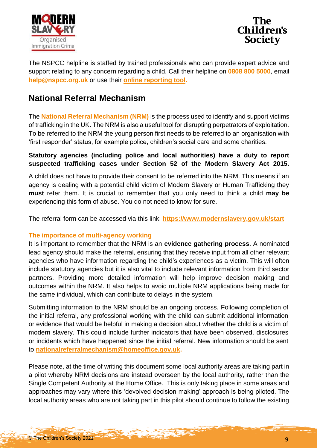



The NSPCC helpline is staffed by trained professionals who can provide expert advice and support relating to any concern regarding a child. Call their helpline on **0808 800 5000**, email **help@nspcc.org.uk** or use their **[online reporting tool.](https://www.nspcc.org.uk/keeping-children-safe/reporting-abuse/report/report-abuse-online/)**

## **National Referral Mechanism**

The **National Referral Mechanism (NRM)** is the process used to identify and support victims of trafficking in the UK. The NRM is also a useful tool for disrupting perpetrators of exploitation. To be referred to the NRM the young person first needs to be referred to an organisation with 'first responder' status, for example police, children's social care and some charities.

#### **Statutory agencies (including police and local authorities) have a duty to report suspected trafficking cases under Section 52 of the Modern Slavery Act 2015.**

A child does not have to provide their consent to be referred into the NRM. This means if an agency is dealing with a potential child victim of Modern Slavery or Human Trafficking they **must** refer them. It is crucial to remember that you only need to think a child **may be**  experiencing this form of abuse. You do not need to know for sure.

The referral form can be accessed via this link: **<https://www.modernslavery.gov.uk/start>**

#### **The importance of multi-agency working**

It is important to remember that the NRM is an **evidence gathering process**. A nominated lead agency should make the referral, ensuring that they receive input from all other relevant agencies who have information regarding the child's experiences as a victim. This will often include statutory agencies but it is also vital to include relevant information from third sector partners. Providing more detailed information will help improve decision making and outcomes within the NRM. It also helps to avoid multiple NRM applications being made for the same individual, which can contribute to delays in the system.

Submitting information to the NRM should be an ongoing process. Following completion of the initial referral, any professional working with the child can submit additional information or evidence that would be helpful in making a decision about whether the child is a victim of modern slavery. This could include further indicators that have been observed, disclosures or incidents which have happened since the initial referral. New information should be sent to **[nationalreferralmechanism@homeoffice.gov.uk.](mailto:nationalreferralmechanism@homeoffice.gov.uk)**

Please note, at the time of writing this document some local authority areas are taking part in a pilot whereby NRM decisions are instead overseen by the local authority, rather than the Single Competent Authority at the Home Office. This is only taking place in some areas and approaches may vary where this 'devolved decision making' approach is being piloted. The local authority areas who are not taking part in this pilot should continue to follow the existing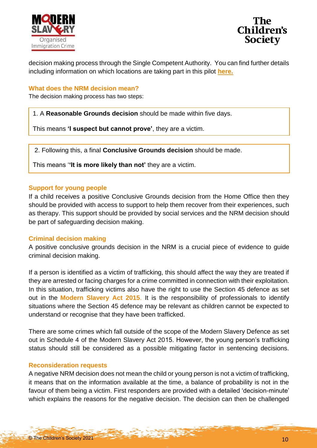



decision making process through the Single Competent Authority. You can find further details including information on which locations are taking part in this pilot **[here.](https://www.gov.uk/government/publications/piloting-devolving-decision-making-for-child-victims-of-modern-slavery/devolving-child-decision-making-pilot-programme-general-guidance-accessible-version)**

#### **What does the NRM decision mean?**

The decision making process has two steps:

1. A **Reasonable Grounds decision** should be made within five days.

This means **'I suspect but cannot prove'**, they are a victim.

2. Following this, a final **Conclusive Grounds decision** should be made.

This means '**'It is more likely than not'** they are a victim.

#### **Support for young people**

If a child receives a positive Conclusive Grounds decision from the Home Office then they should be provided with access to support to help them recover from their experiences, such as therapy. This support should be provided by social services and the NRM decision should be part of safeguarding decision making.

#### **Criminal decision making**

A positive conclusive grounds decision in the NRM is a crucial piece of evidence to guide criminal decision making.

If a person is identified as a victim of trafficking, this should affect the way they are treated if they are arrested or facing charges for a crime committed in connection with their exploitation. In this situation, trafficking victims also have the right to use the Section 45 defence as set out in the **[Modern Slavery Act 2015](https://www.legislation.gov.uk/ukpga/2015/30/contents/enacted)**. It is the responsibility of professionals to identify situations where the Section 45 defence may be relevant as children cannot be expected to understand or recognise that they have been trafficked.

There are some crimes which fall outside of the scope of the Modern Slavery Defence as set out in Schedule 4 of the Modern Slavery Act 2015. However, the young person's trafficking status should still be considered as a possible mitigating factor in sentencing decisions.

#### **Reconsideration requests**

A negative NRM decision does not mean the child or young person is not a victim of trafficking, it means that on the information available at the time, a balance of probability is not in the favour of them being a victim. First responders are provided with a detailed 'decision-minute' which explains the reasons for the negative decision. The decision can then be challenged